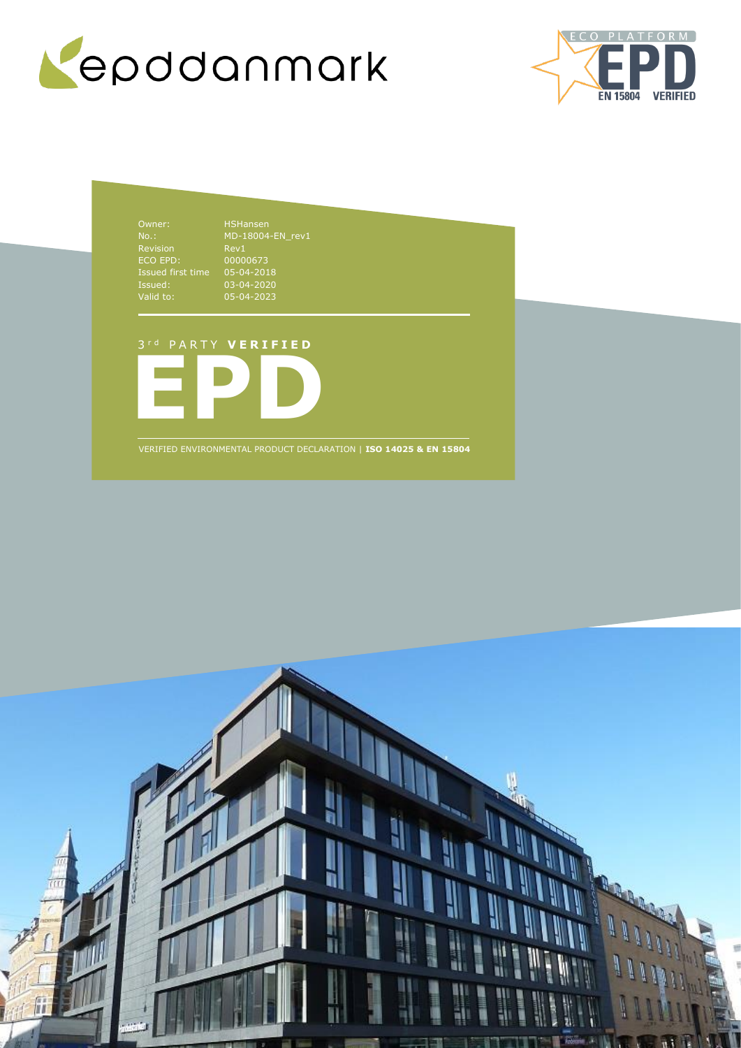



Owner: HSHansen No.: Revision ECO EPD: 00000673 Issued first time 05-04-2018 Issued: 03-04-2020 Valid to: 05-04-2023

MD-18004-EN\_rev1 Rev1

### 3 r d P A R T Y **V E R I F I E D**



VERIFIED ENVIRONMENTAL PRODUCT DECLARATION | **ISO 14025 & EN 15804**

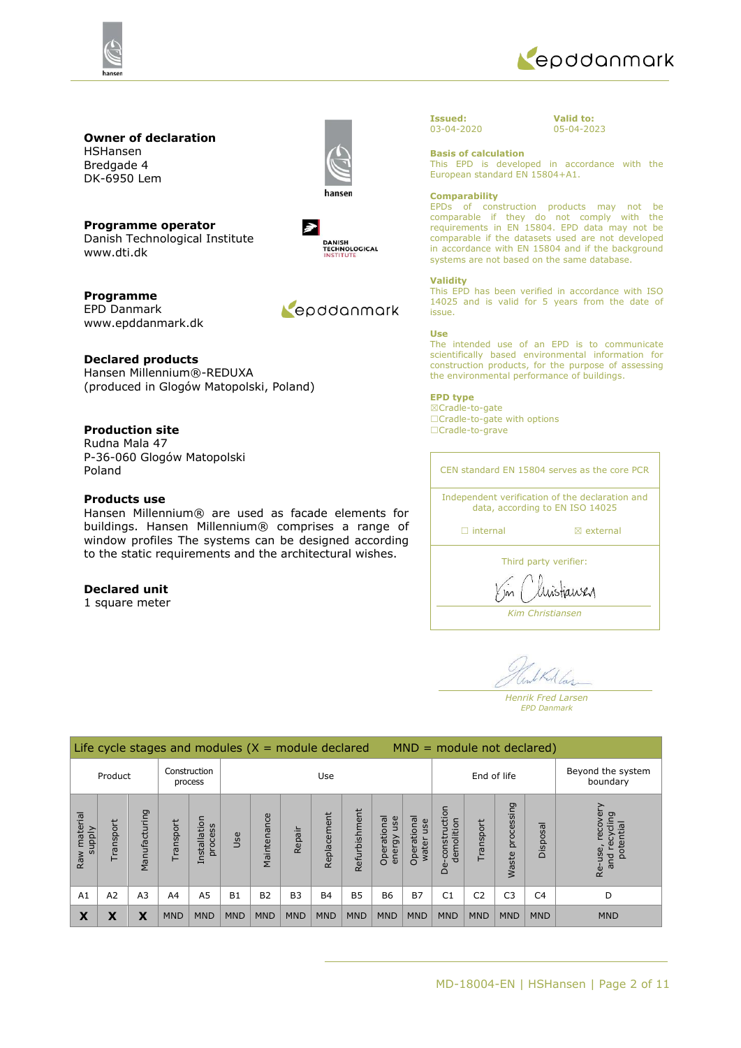



# **Owner of declaration** HSHansen

Bredgade 4 DK-6950 Lem



**Programme operator** Danish Technological Institute www.dti.dk

 $\rightarrow$ DANISH<br>TECHNOLOGICAL<br>INSTITUTE

**Programme** EPD Danmark www.epddanmark.dk



### **Declared products**

Hansen Millennium®-REDUXA (produced in Glogów Matopolski, Poland)

## **Production site**

Rudna Mala 47 P-36-060 Glogów Matopolski Poland

## **Products use**

Hansen Millennium® are used as facade elements for buildings. Hansen Millennium® comprises a range of window profiles The systems can be designed according to the static requirements and the architectural wishes.

### **Declared unit**

1 square meter

#### **Issued:** 03-04-2020

**Valid to:** 05-04-2023

#### **Basis of calculation**

This EPD is developed in accordance with the European standard EN 15804+A1.

#### **Comparability**

EPDs of construction products may not be comparable if they do not comply with the requirements in EN 15804. EPD data may not be comparable if the datasets used are not developed in accordance with EN 15804 and if the background systems are not based on the same database.

#### **Validity**

This EPD has been verified in accordance with ISO 14025 and is valid for 5 years from the date of issue.

#### **Use**

The intended use of an EPD is to communicate scientifically based environmental information for construction products, for the purpose of assessing the environmental performance of buildings.

#### **EPD type**

☒Cradle-to-gate □Cradle-to-gate with options ☐Cradle-to-grave

CEN standard EN 15804 serves as the core PCR Independent verification of the declaration and data, according to EN ISO 14025

□ internal **a** external

Third party verifier:

taney

*Kim Christiansen*

Mar

*Henrik Fred Larsen EPD Danmark*

| Life cycle stages and modules $(X = $ module declared<br>$MND = module not declared)$ |           |                         |                |                         |            |                |                |             |               |                              |                               |                                                   |                |                     |                |                                                        |
|---------------------------------------------------------------------------------------|-----------|-------------------------|----------------|-------------------------|------------|----------------|----------------|-------------|---------------|------------------------------|-------------------------------|---------------------------------------------------|----------------|---------------------|----------------|--------------------------------------------------------|
| Product                                                                               |           | Construction<br>process |                | Use                     |            |                |                | End of life |               |                              | Beyond the system<br>boundary |                                                   |                |                     |                |                                                        |
| Raw material<br>supply                                                                | Transport | ring<br>Manufactu       | ransport       | Installation<br>process | Use        | Maintenance    | Repair         | Replacement | Refurbishment | Operational<br>use<br>energy | Operational<br>use<br>water   | construction<br>demolition<br>$\dot{a}$<br>$\Box$ | Transport      | processing<br>Waste | Disposal       | recove<br>cling<br>potential<br>recy<br>Re-use,<br>and |
| A <sub>1</sub>                                                                        | A2        | A <sub>3</sub>          | A <sub>4</sub> | A5                      | <b>B1</b>  | B <sub>2</sub> | B <sub>3</sub> | <b>B4</b>   | <b>B5</b>     | <b>B6</b>                    | <b>B7</b>                     | C <sub>1</sub>                                    | C <sub>2</sub> | C <sub>3</sub>      | C <sub>4</sub> | D                                                      |
| X                                                                                     | χ         | X                       | <b>MND</b>     | <b>MND</b>              | <b>MND</b> | <b>MND</b>     | <b>MND</b>     | <b>MND</b>  | <b>MND</b>    | <b>MND</b>                   | <b>MND</b>                    | <b>MND</b>                                        | <b>MND</b>     | <b>MND</b>          | <b>MND</b>     | <b>MND</b>                                             |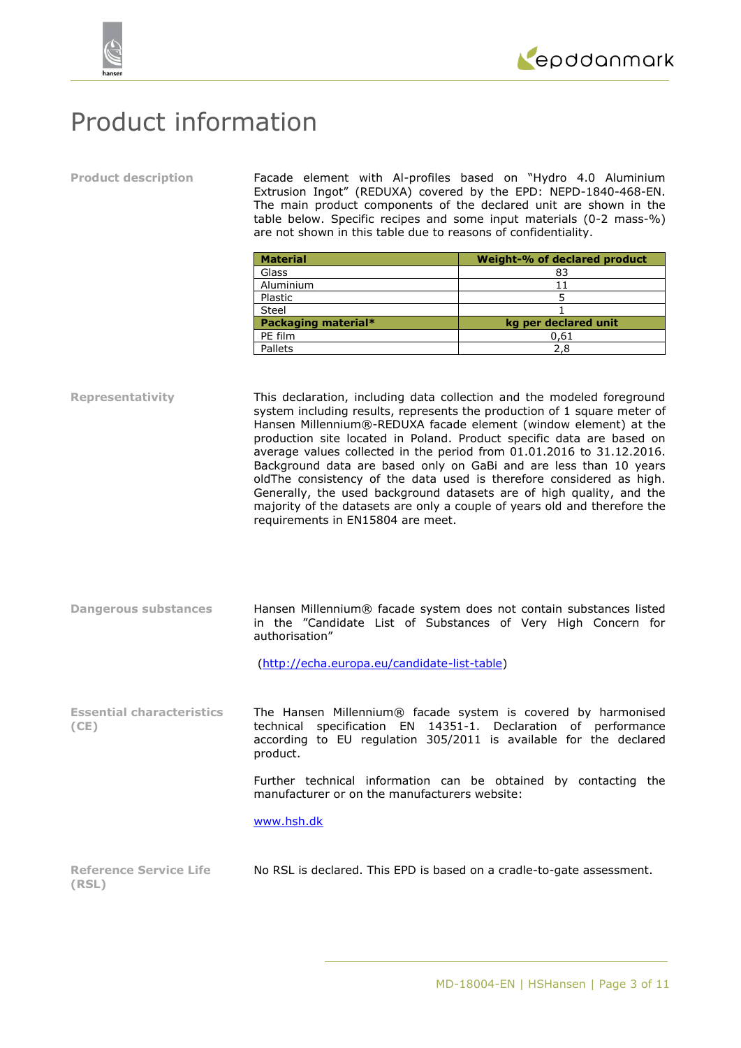



# Product information

**Product description** Facade element with Al-profiles based on "Hydro 4.0 Aluminium Extrusion Ingot" (REDUXA) covered by the EPD: NEPD-1840-468-EN. The main product components of the declared unit are shown in the table below. Specific recipes and some input materials (0-2 mass-%) are not shown in this table due to reasons of confidentiality.

| <b>Material</b>     | Weight-% of declared product |
|---------------------|------------------------------|
| Glass               | 83                           |
| Aluminium           |                              |
| Plastic             |                              |
| Steel               |                              |
| Packaging material* | kg per declared unit         |
| PE film             | 0,61                         |
| Pallets             | 2,8                          |

**Representativity** This declaration, including data collection and the modeled foreground system including results, represents the production of 1 square meter of Hansen Millennium®-REDUXA facade element (window element) at the production site located in Poland. Product specific data are based on average values collected in the period from 01.01.2016 to 31.12.2016. Background data are based only on GaBi and are less than 10 years oldThe consistency of the data used is therefore considered as high. Generally, the used background datasets are of high quality, and the majority of the datasets are only a couple of years old and therefore the requirements in EN15804 are meet.

**Dangerous substances** Hansen Millennium® facade system does not contain substances listed in the "Candidate List of Substances of Very High Concern for authorisation"

[\(http://echa.europa.eu/candidate-list-table\)](http://echa.europa.eu/candidate-list-table)

**Essential characteristics (CE)** The Hansen Millennium® facade system is covered by harmonised technical specification EN 14351-1. Declaration of performance according to EU regulation 305/2011 is available for the declared product.

> Further technical information can be obtained by contacting the manufacturer or on the manufacturers website:

[www.hsh.dk](http://www.hsh.dk/)

| <b>Reference Service Life</b> | No RSL is declared. This EPD is based on a cradle-to-gate assessment. |  |  |
|-------------------------------|-----------------------------------------------------------------------|--|--|
| (RSL)                         |                                                                       |  |  |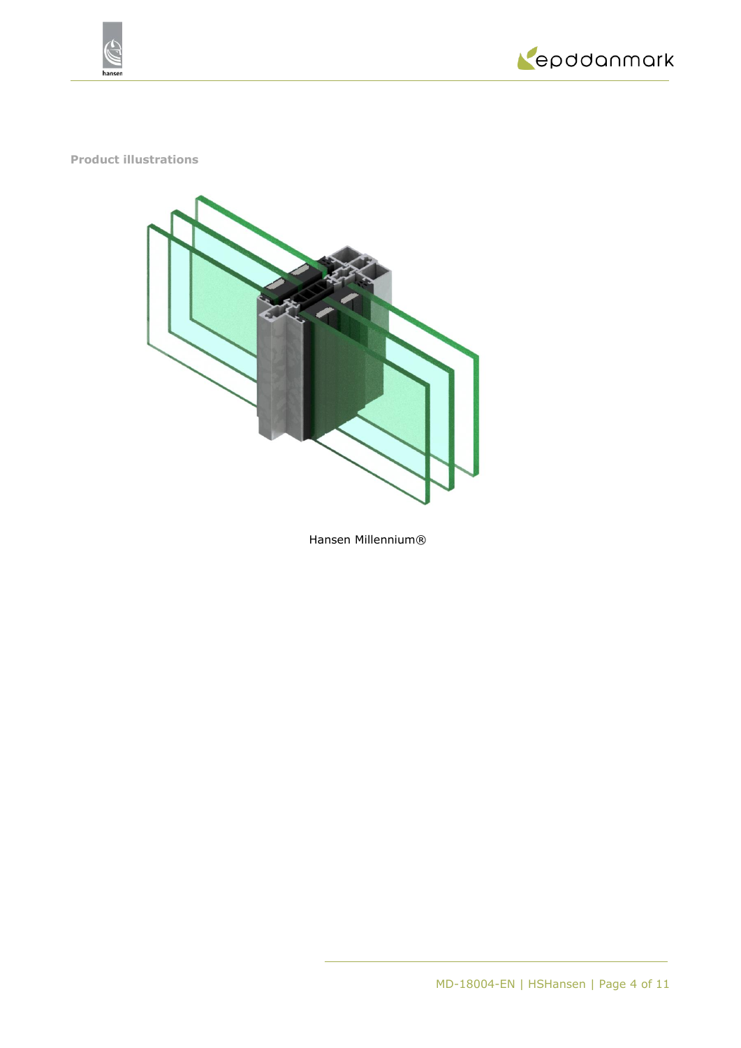



**Product illustrations**



Hansen Millennium®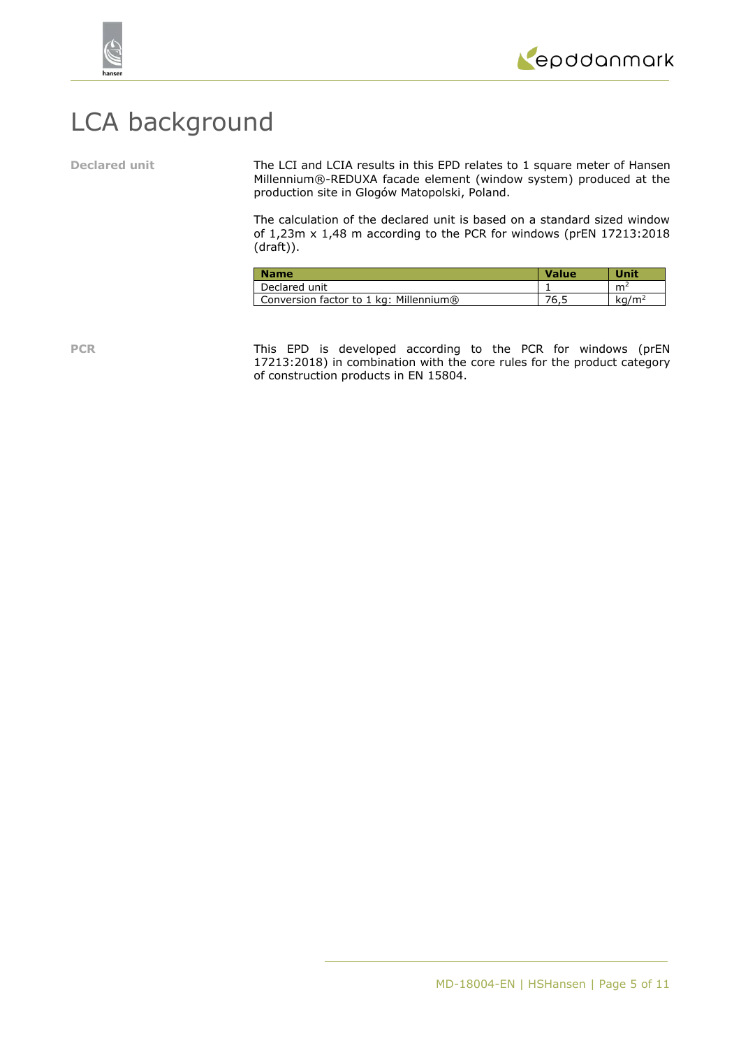



# LCA background

**Declared unit** The LCI and LCIA results in this EPD relates to 1 square meter of Hansen Millennium®-REDUXA facade element (window system) produced at the production site in Glogów Matopolski, Poland.

> The calculation of the declared unit is based on a standard sized window of 1,23m x 1,48 m according to the PCR for windows (prEN 17213:2018 (draft)).

| <b>Name</b>                            | <b>Value</b> | Unit              |
|----------------------------------------|--------------|-------------------|
| Declared unit                          |              | m <sup>2</sup>    |
| Conversion factor to 1 kg: Millennium® | 76.5         | ka/m <sup>2</sup> |

PCR This EPD is developed according to the PCR for windows (prEN 17213:2018) in combination with the core rules for the product category of construction products in EN 15804.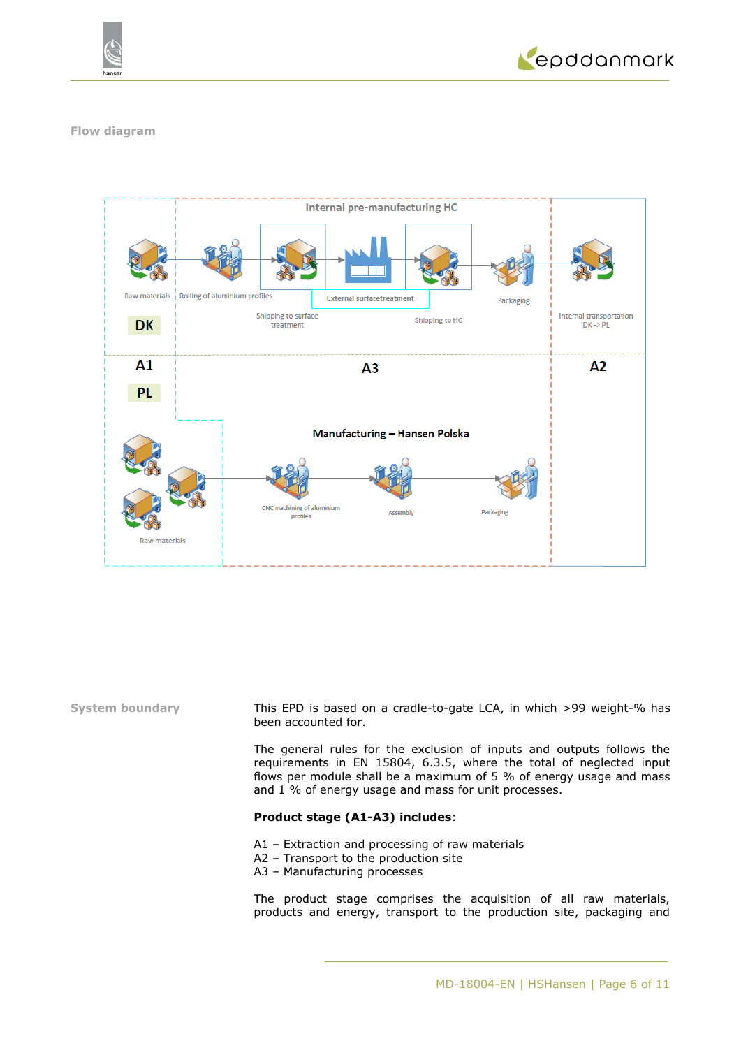



### **Flow diagram**



**System boundary** This EPD is based on a cradle-to-gate LCA, in which >99 weight-% has been accounted for.

> The general rules for the exclusion of inputs and outputs follows the requirements in EN 15804, 6.3.5, where the total of neglected input flows per module shall be a maximum of 5 % of energy usage and mass and 1 % of energy usage and mass for unit processes.

### **Product stage (A1-A3) includes**:

- A1 Extraction and processing of raw materials
- A2 Transport to the production site
- A3 Manufacturing processes

The product stage comprises the acquisition of all raw materials, products and energy, transport to the production site, packaging and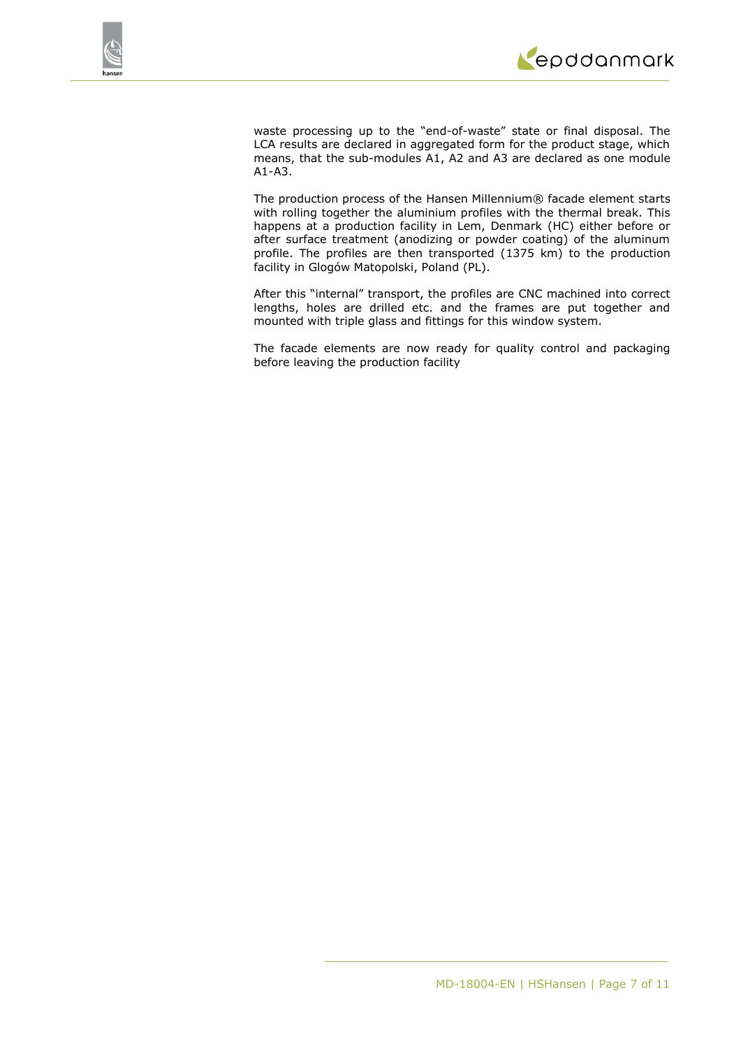

waste processing up to the "end-of-waste" state or final disposal. The LCA results are declared in aggregated form for the product stage, which means, that the sub-modules A1, A2 and A3 are declared as one module A1-A3.

The production process of the Hansen Millennium® facade element starts with rolling together the aluminium profiles with the thermal break. This happens at a production facility in Lem, Denmark (HC) either before or after surface treatment (anodizing or powder coating) of the aluminum profile. The profiles are then transported (1375 km) to the production facility in Glogów Matopolski, Poland (PL).

After this "internal" transport, the profiles are CNC machined into correct lengths, holes are drilled etc. and the frames are put together and mounted with triple glass and fittings for this window system.

The facade elements are now ready for quality control and packaging before leaving the production facility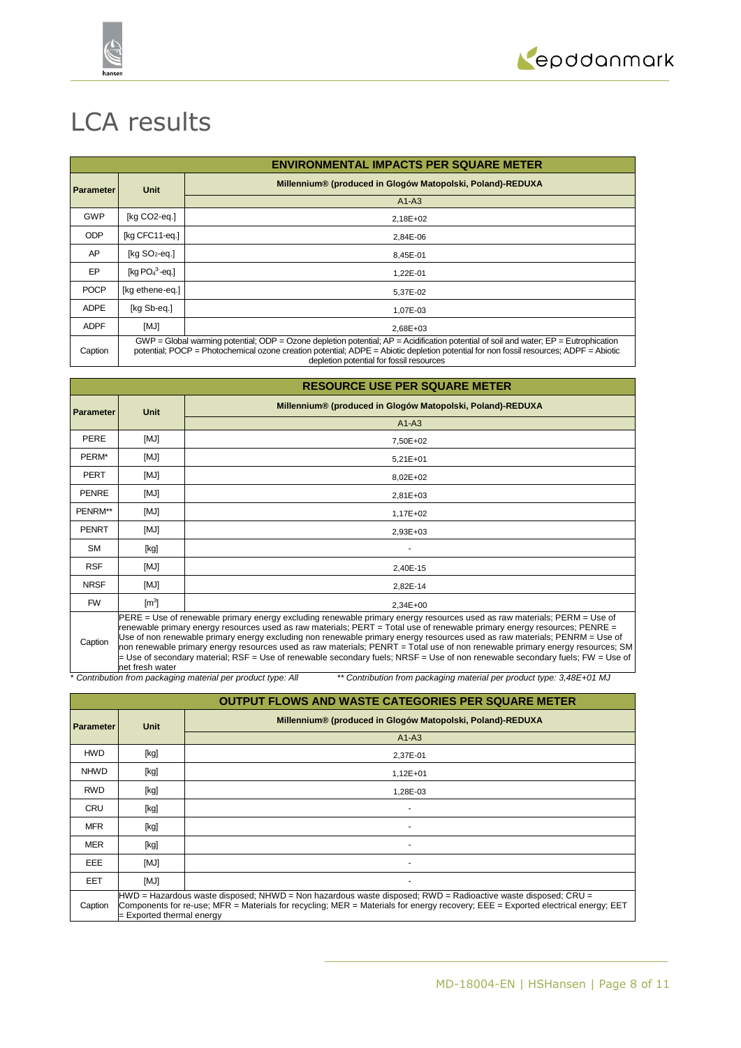



# LCA results

|                  |                                                                                                                                                                                                                                                                                                                             | <b>ENVIRONMENTAL IMPACTS PER SQUARE METER</b>              |  |  |  |  |
|------------------|-----------------------------------------------------------------------------------------------------------------------------------------------------------------------------------------------------------------------------------------------------------------------------------------------------------------------------|------------------------------------------------------------|--|--|--|--|
| <b>Parameter</b> | Unit                                                                                                                                                                                                                                                                                                                        | Millennium® (produced in Glogów Matopolski, Poland)-REDUXA |  |  |  |  |
|                  |                                                                                                                                                                                                                                                                                                                             | $A1-A3$                                                    |  |  |  |  |
| <b>GWP</b>       | [kg CO2-eq.]                                                                                                                                                                                                                                                                                                                | 2,18E+02                                                   |  |  |  |  |
| <b>ODP</b>       | [kg CFC11-eq.]                                                                                                                                                                                                                                                                                                              | 2,84E-06                                                   |  |  |  |  |
| AP               | [ $kg SO2-eq.$ ]                                                                                                                                                                                                                                                                                                            | 8,45E-01                                                   |  |  |  |  |
| EP               | [kg $PO43$ -eq.]                                                                                                                                                                                                                                                                                                            | 1,22E-01                                                   |  |  |  |  |
| <b>POCP</b>      | [kg ethene-eq.]                                                                                                                                                                                                                                                                                                             | 5,37E-02                                                   |  |  |  |  |
| <b>ADPE</b>      | [kg Sb-eg.]                                                                                                                                                                                                                                                                                                                 | 1,07E-03                                                   |  |  |  |  |
| <b>ADPF</b>      | [MJ]                                                                                                                                                                                                                                                                                                                        | $2.68E + 03$                                               |  |  |  |  |
| Caption          | $GWP = Global$ warming potential; ODP = Ozone depletion potential; AP = Acidification potential of soil and water; EP = Eutrophication<br>potential; POCP = Photochemical ozone creation potential; ADPE = Abiotic depletion potential for non fossil resources; ADPF = Abiotic<br>depletion potential for fossil resources |                                                            |  |  |  |  |

|              |                                                                                                                                                                                                                                                                                                                                                                                                                                                                                                                                                                                                                                                         | <b>RESOURCE USE PER SQUARE METER</b>                       |  |  |  |  |  |
|--------------|---------------------------------------------------------------------------------------------------------------------------------------------------------------------------------------------------------------------------------------------------------------------------------------------------------------------------------------------------------------------------------------------------------------------------------------------------------------------------------------------------------------------------------------------------------------------------------------------------------------------------------------------------------|------------------------------------------------------------|--|--|--|--|--|
| Parameter    | <b>Unit</b>                                                                                                                                                                                                                                                                                                                                                                                                                                                                                                                                                                                                                                             | Millennium® (produced in Glogów Matopolski, Poland)-REDUXA |  |  |  |  |  |
|              |                                                                                                                                                                                                                                                                                                                                                                                                                                                                                                                                                                                                                                                         | $A1-A3$                                                    |  |  |  |  |  |
| PERE         | [MJ]                                                                                                                                                                                                                                                                                                                                                                                                                                                                                                                                                                                                                                                    | 7,50E+02                                                   |  |  |  |  |  |
| PERM*        | [MJ]                                                                                                                                                                                                                                                                                                                                                                                                                                                                                                                                                                                                                                                    | $5,21E+01$                                                 |  |  |  |  |  |
| <b>PERT</b>  | [MJ]                                                                                                                                                                                                                                                                                                                                                                                                                                                                                                                                                                                                                                                    | 8,02E+02                                                   |  |  |  |  |  |
| <b>PENRE</b> | [MJ]                                                                                                                                                                                                                                                                                                                                                                                                                                                                                                                                                                                                                                                    | $2,81E+03$                                                 |  |  |  |  |  |
| PENRM**      | [MJ]                                                                                                                                                                                                                                                                                                                                                                                                                                                                                                                                                                                                                                                    | 1,17E+02                                                   |  |  |  |  |  |
| <b>PENRT</b> | [MJ]                                                                                                                                                                                                                                                                                                                                                                                                                                                                                                                                                                                                                                                    | 2,93E+03                                                   |  |  |  |  |  |
| SM           | [kg]                                                                                                                                                                                                                                                                                                                                                                                                                                                                                                                                                                                                                                                    |                                                            |  |  |  |  |  |
| <b>RSF</b>   | [MJ]                                                                                                                                                                                                                                                                                                                                                                                                                                                                                                                                                                                                                                                    | 2.40E-15                                                   |  |  |  |  |  |
| <b>NRSF</b>  | [MJ]                                                                                                                                                                                                                                                                                                                                                                                                                                                                                                                                                                                                                                                    | 2,82E-14                                                   |  |  |  |  |  |
| <b>FW</b>    | $\mathsf{[m^3]}$                                                                                                                                                                                                                                                                                                                                                                                                                                                                                                                                                                                                                                        | 2,34E+00                                                   |  |  |  |  |  |
| Caption      | PERE = Use of renewable primary energy excluding renewable primary energy resources used as raw materials; PERM = Use of<br>renewable primary energy resources used as raw materials; PERT = Total use of renewable primary energy resources; PENRE =<br>Use of non renewable primary energy excluding non renewable primary energy resources used as raw materials; PENRM = Use of<br>non renewable primary energy resources used as raw materials; PENRT = Total use of non renewable primary energy resources; SM<br>$=$ Use of secondary material; RSF = Use of renewable secondary fuels; NRSF = Use of non renewable secondary fuels; FW = Use of |                                                            |  |  |  |  |  |

net fresh water \* *Contribution from packaging material per product type: All \*\* Contribution from packaging material per product type: 3,48E+01 MJ*

|                  |                                                                                                                                                                                                                                                                               | <b>OUTPUT FLOWS AND WASTE CATEGORIES PER SQUARE METER</b>  |  |  |  |
|------------------|-------------------------------------------------------------------------------------------------------------------------------------------------------------------------------------------------------------------------------------------------------------------------------|------------------------------------------------------------|--|--|--|
| <b>Parameter</b> | Unit                                                                                                                                                                                                                                                                          | Millennium® (produced in Glogów Matopolski, Poland)-REDUXA |  |  |  |
|                  |                                                                                                                                                                                                                                                                               | $A1-A3$                                                    |  |  |  |
| <b>HWD</b>       | [kg]                                                                                                                                                                                                                                                                          | 2,37E-01                                                   |  |  |  |
| <b>NHWD</b>      | [kg]                                                                                                                                                                                                                                                                          | $1,12E+01$                                                 |  |  |  |
| <b>RWD</b>       | [kg]                                                                                                                                                                                                                                                                          | 1,28E-03                                                   |  |  |  |
| <b>CRU</b>       | [kg]                                                                                                                                                                                                                                                                          |                                                            |  |  |  |
| <b>MFR</b>       | [kg]                                                                                                                                                                                                                                                                          |                                                            |  |  |  |
| <b>MER</b>       | [kg]                                                                                                                                                                                                                                                                          |                                                            |  |  |  |
| EEE              | [MJ]                                                                                                                                                                                                                                                                          |                                                            |  |  |  |
| <b>EET</b>       | [MJ]                                                                                                                                                                                                                                                                          |                                                            |  |  |  |
| Caption          | HWD = Hazardous waste disposed; NHWD = Non hazardous waste disposed; RWD = Radioactive waste disposed; CRU =<br>Components for re-use; MFR = Materials for recycling; MER = Materials for energy recovery; EEE = Exported electrical energy; EET<br>= Exported thermal energy |                                                            |  |  |  |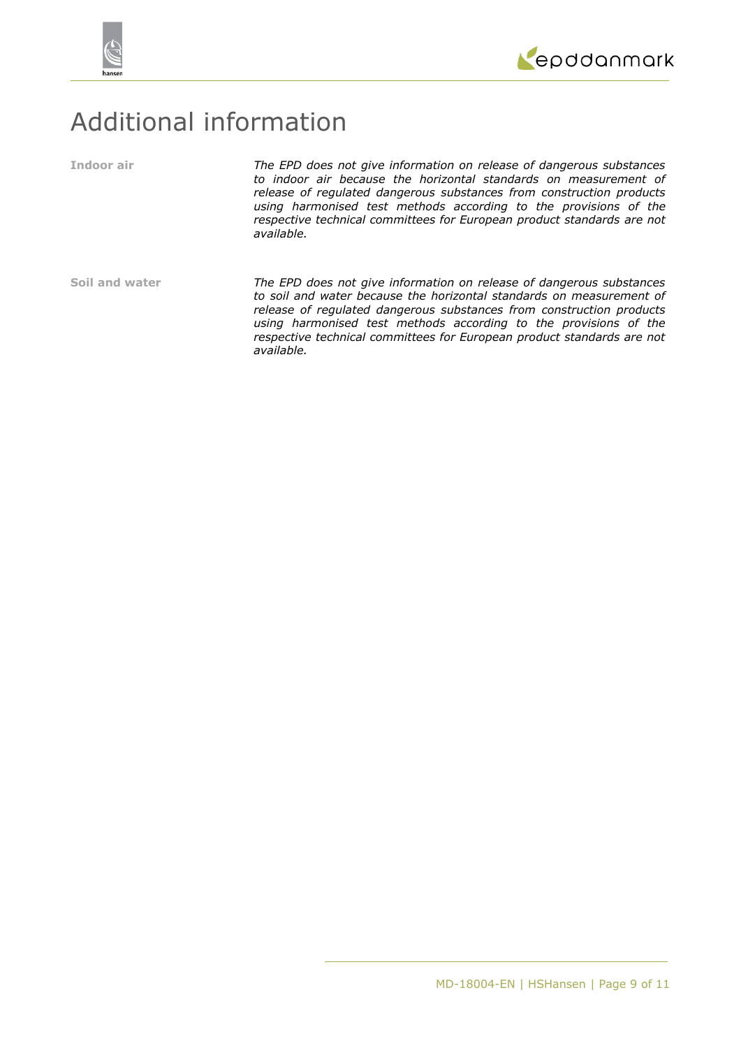



# Additional information

**Indoor air** *The EPD does not give information on release of dangerous substances to indoor air because the horizontal standards on measurement of release of regulated dangerous substances from construction products using harmonised test methods according to the provisions of the respective technical committees for European product standards are not available.*

**Soil and water** *The EPD does not give information on release of dangerous substances to soil and water because the horizontal standards on measurement of release of regulated dangerous substances from construction products using harmonised test methods according to the provisions of the respective technical committees for European product standards are not available.*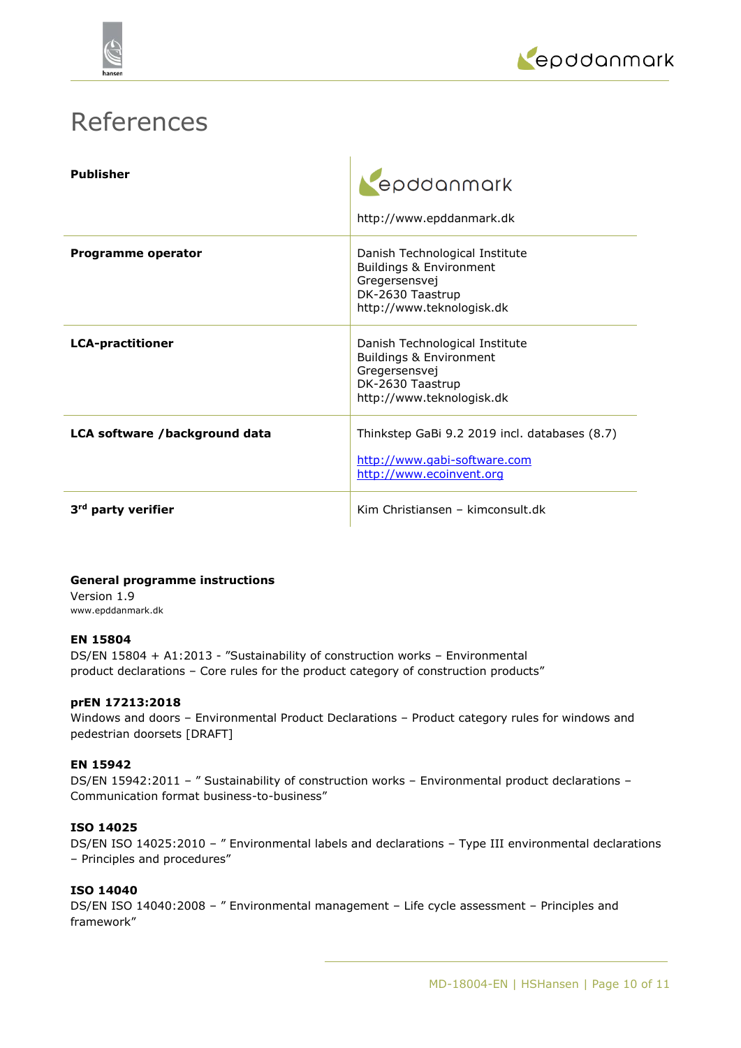



# References

| <b>Publisher</b>               | epddanmark<br>http://www.epddanmark.dk                                                                                      |
|--------------------------------|-----------------------------------------------------------------------------------------------------------------------------|
| Programme operator             | Danish Technological Institute<br>Buildings & Environment<br>Gregersensvej<br>DK-2630 Taastrup<br>http://www.teknologisk.dk |
| <b>LCA-practitioner</b>        | Danish Technological Institute<br>Buildings & Environment<br>Gregersensvej<br>DK-2630 Taastrup<br>http://www.teknologisk.dk |
| LCA software /background data  | Thinkstep GaBi 9.2 2019 incl. databases (8.7)<br>http://www.gabi-software.com<br>http://www.ecoinvent.org                   |
| 3 <sup>rd</sup> party verifier | Kim Christiansen – kimconsult.dk                                                                                            |

# **General programme instructions**

Version 1.9 www.epddanmark.dk

# **EN 15804**

DS/EN 15804 + A1:2013 - "Sustainability of construction works – Environmental product declarations – Core rules for the product category of construction products"

# **prEN 17213:2018**

Windows and doors – Environmental Product Declarations – Product category rules for windows and pedestrian doorsets [DRAFT]

# **EN 15942**

DS/EN 15942:2011 - " Sustainability of construction works - Environmental product declarations -Communication format business-to-business"

# **ISO 14025**

DS/EN ISO 14025:2010 – " Environmental labels and declarations – Type III environmental declarations – Principles and procedures"

# **ISO 14040**

DS/EN ISO 14040:2008 – " Environmental management – Life cycle assessment – Principles and framework"